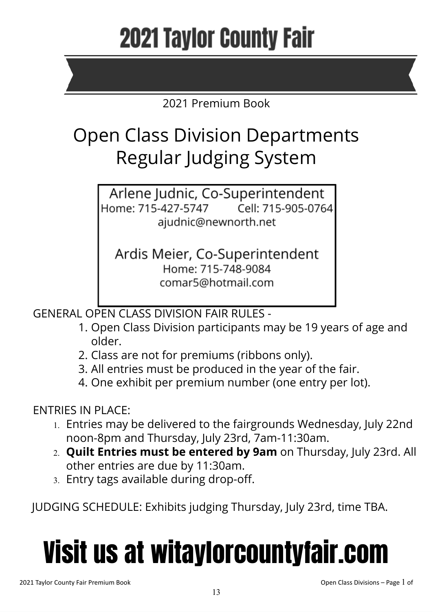# **2021 Taylor County Fair**

## 2021 Premium Book

## Open Class Division Departments Regular Judging System

Arlene Judnic, Co-Superintendent Home: 715-427-5747 Cell: 715-905-0764 ajudnic@newnorth.net

Ardis Meier, Co-Superintendent Home: 715-748-9084 comar5@hotmail.com

GENERAL OPEN CLASS DIVISION FAIR RULES -

- 1. Open Class Division participants may be 19 years of age and older.
- 2. Class are not for premiums (ribbons only).
- 3. All entries must be produced in the year of the fair.
- 4. One exhibit per premium number (one entry per lot).

## ENTRIES IN PLACE:

- 1. Entries may be delivered to the fairgrounds Wednesday, July 22nd noon-8pm and Thursday, July 23rd, 7am-11:30am.
- 2. **Quilt Entries must be entered by 9am** on Thursday, July 23rd. All other entries are due by 11:30am.
- 3. Entry tags available during drop-off.

JUDGING SCHEDULE: Exhibits judging Thursday, July 23rd, time TBA.

# Visit us at witaylorcountyfair.com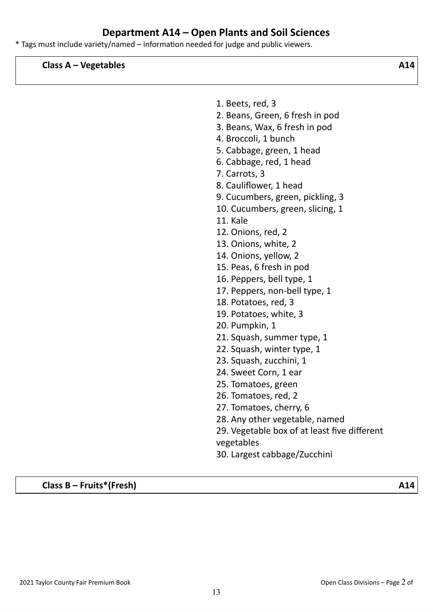## **Department A14 – Open Plants and Soil Sciences**

\* Tags must include variety/named – information needed for judge and public viewers.

**Class A – Vegetables A14**

- 1. Beets, red, 3
- 2. Beans, Green, 6 fresh in pod
- 3. Beans, Wax, 6 fresh in pod
- 4. Broccoli, 1 bunch
- 5. Cabbage, green, 1 head
- 6. Cabbage, red, 1 head
- 7. Carrots, 3
- 8. Cauliflower, 1 head
- 9. Cucumbers, green, pickling, 3
- 10. Cucumbers, green, slicing, 1
- 11. Kale
- 12. Onions, red, 2
- 13. Onions, white, 2
- 14. Onions, yellow, 2
- 15. Peas, 6 fresh in pod
- 16. Peppers, bell type, 1
- 17. Peppers, non-bell type, 1
- 18. Potatoes, red, 3
- 19. Potatoes, white, 3
- 20. Pumpkin, 1
- 21. Squash, summer type, 1
- 22. Squash, winter type, 1
- 23. Squash, zucchini, 1
- 24. Sweet Corn, 1 ear
- 25. Tomatoes, green
- 26. Tomatoes, red, 2
- 27. Tomatoes, cherry, 6
- 28. Any other vegetable, named
- 29. Vegetable box of at least five different vegetables
- 30. Largest cabbage/Zucchini

**Class B – Fruits\*(Fresh) A14**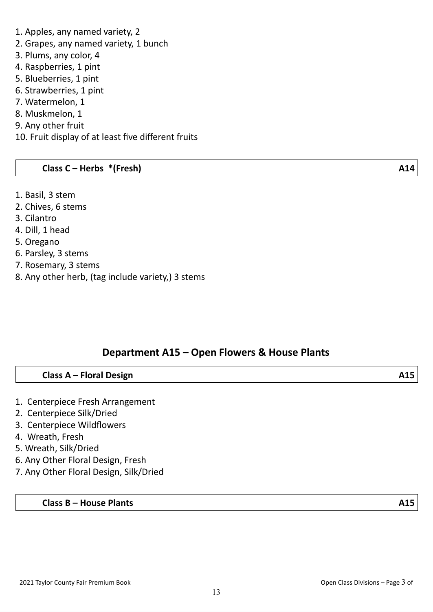## 1. Apples, any named variety, 2

- 2. Grapes, any named variety, 1 bunch
- 3. Plums, any color, 4
- 4. Raspberries, 1 pint
- 5. Blueberries, 1 pint
- 6. Strawberries, 1 pint
- 7. Watermelon, 1
- 8. Muskmelon, 1
- 9. Any other fruit
- 10. Fruit display of at least five different fruits

## **Class C – Herbs \*(Fresh) A14**

- 1. Basil, 3 stem
- 2. Chives, 6 stems
- 3. Cilantro
- 4. Dill, 1 head
- 5. Oregano
- 6. Parsley, 3 stems
- 7. Rosemary, 3 stems
- 8. Any other herb, (tag include variety,) 3 stems

## **Department A15 – Open Flowers & House Plants**

## **Class A – Floral Design A15**

- 1. Centerpiece Fresh Arrangement
- 2. Centerpiece Silk/Dried
- 3. Centerpiece Wildflowers
- 4. Wreath, Fresh
- 5. Wreath, Silk/Dried
- 6. Any Other Floral Design, Fresh
- 7. Any Other Floral Design, Silk/Dried

## **Class B – House Plants A15**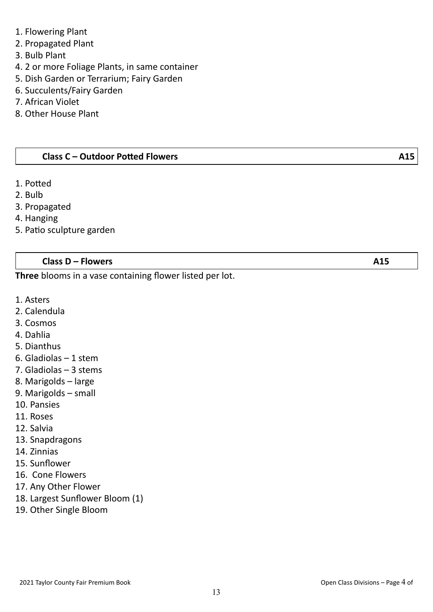- 1. Flowering Plant
- 2. Propagated Plant
- 3. Bulb Plant
- 4. 2 or more Foliage Plants, in same container
- 5. Dish Garden or Terrarium; Fairy Garden
- 6. Succulents/Fairy Garden
- 7. African Violet
- 8. Other House Plant

#### **Class C – Outdoor Potted Flowers A15**

- 1. Potted
- 2. Bulb
- 3. Propagated
- 4. Hanging
- 5. Patio sculpture garden

#### **Class D – Flowers A15**

**Three** blooms in a vase containing flower listed per lot.

- 1. Asters
- 2. Calendula
- 3. Cosmos
- 4. Dahlia
- 5. Dianthus
- 6. Gladiolas 1 stem
- 7. Gladiolas 3 stems
- 8. Marigolds large
- 9. Marigolds small
- 10. Pansies
- 11. Roses
- 12. Salvia
- 13. Snapdragons
- 14. Zinnias
- 15. Sunflower
- 16. Cone Flowers
- 17. Any Other Flower
- 18. Largest Sunflower Bloom (1)
- 19. Other Single Bloom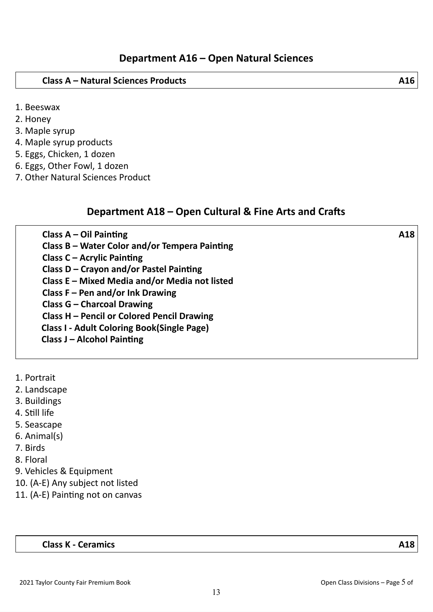#### **Class A – Natural Sciences Products A16**

- 1. Beeswax
- 2. Honey
- 3. Maple syrup
- 4. Maple syrup products
- 5. Eggs, Chicken, 1 dozen
- 6. Eggs, Other Fowl, 1 dozen
- 7. Other Natural Sciences Product

## **Department A18 – Open Cultural & Fine Arts and Crafts**

| Class $A - Oil$ Painting                          | A18 |
|---------------------------------------------------|-----|
| Class B - Water Color and/or Tempera Painting     |     |
| <b>Class C - Acrylic Painting</b>                 |     |
| Class D - Crayon and/or Pastel Painting           |     |
| Class E - Mixed Media and/or Media not listed     |     |
| Class $F - Pen$ and/or Ink Drawing                |     |
| <b>Class G - Charcoal Drawing</b>                 |     |
| Class H - Pencil or Colored Pencil Drawing        |     |
| <b>Class I - Adult Coloring Book(Single Page)</b> |     |
| <b>Class J - Alcohol Painting</b>                 |     |
|                                                   |     |

- 1. Portrait
- 2. Landscape
- 3. Buildings
- 4. Still life
- 5. Seascape
- 6. Animal(s)
- 7. Birds
- 8. Floral
- 9. Vehicles & Equipment
- 10. (A-E) Any subject not listed
- 11. (A-E) Painting not on canvas

### **Class K - Ceramics A18**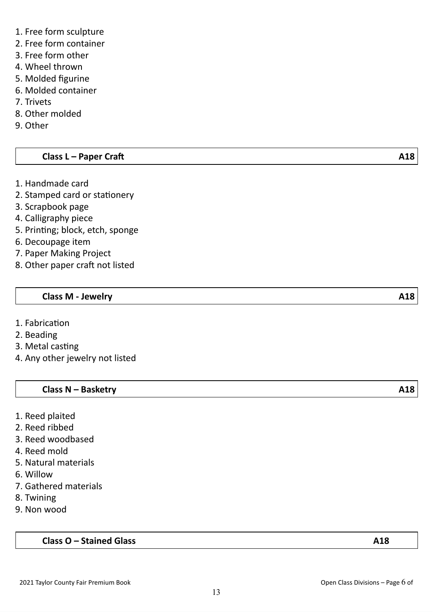- 1. Free form sculpture
- 2. Free form container
- 3. Free form other
- 4. Wheel thrown
- 5. Molded figurine
- 6. Molded container
- 7. Trivets
- 8. Other molded
- 9. Other

## **Class L – Paper Craft A18**

- 1. Handmade card
- 2. Stamped card or stationery
- 3. Scrapbook page
- 4. Calligraphy piece
- 5. Printing; block, etch, sponge
- 6. Decoupage item
- 7. Paper Making Project
- 8. Other paper craft not listed

## **Class M - Jewelry A18**

- 1. Fabrication
- 2. Beading
- 3. Metal casting
- 4. Any other jewelry not listed

## **Class N – Basketry A18**

- 1. Reed plaited
- 2. Reed ribbed
- 3. Reed woodbased
- 4. Reed mold
- 5. Natural materials
- 6. Willow
- 7. Gathered materials
- 8. Twining
- 9. Non wood

## **Class O – Stained Glass A18**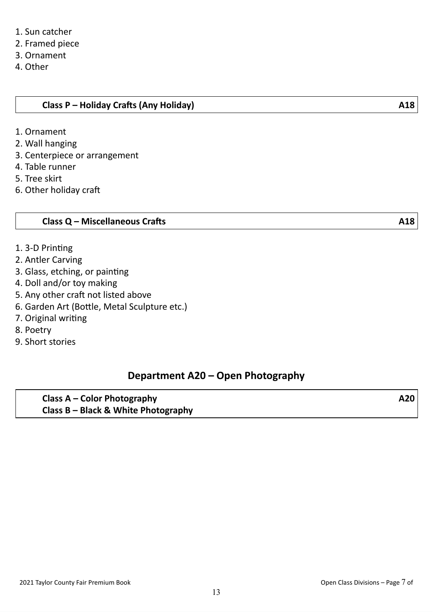- 1. Sun catcher
- 2. Framed piece
- 3. Ornament
- 4. Other

- 1. Ornament
- 2. Wall hanging
- 3. Centerpiece or arrangement
- 4. Table runner
- 5. Tree skirt
- 6. Other holiday craft

## **Class Q – Miscellaneous Crafts A18**

- 1. 3-D Printing
- 2. Antler Carving
- 3. Glass, etching, or painting
- 4. Doll and/or toy making
- 5. Any other craft not listed above
- 6. Garden Art (Bottle, Metal Sculpture etc.)
- 7. Original writing
- 8. Poetry
- 9. Short stories

## **Department A20 – Open Photography**

**Class A – Color Photography A20 Class B – Black & White Photography**

2021 Taylor County Fair Premium Book Open Class Divisions – Page 7 of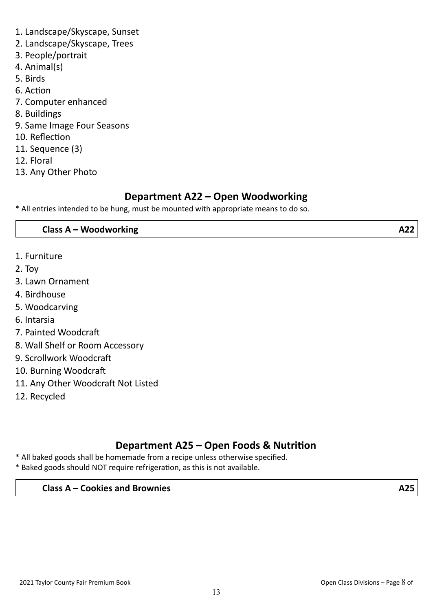- 1. Landscape/Skyscape, Sunset
- 2. Landscape/Skyscape, Trees
- 3. People/portrait
- 4. Animal(s)
- 5. Birds
- 6. Action
- 7. Computer enhanced
- 8. Buildings
- 9. Same Image Four Seasons
- 10. Reflection
- 11. Sequence (3)
- 12. Floral
- 13. Any Other Photo

## **Department A22 – Open Woodworking**

\* All entries intended to be hung, must be mounted with appropriate means to do so.

## **Class A – Woodworking A22**

- 1. Furniture
- 2. Toy
- 3. Lawn Ornament
- 4. Birdhouse
- 5. Woodcarving
- 6. Intarsia
- 7. Painted Woodcraft
- 8. Wall Shelf or Room Accessory
- 9. Scrollwork Woodcraft
- 10. Burning Woodcraft
- 11. Any Other Woodcraft Not Listed
- 12. Recycled

## **Department A25 – Open Foods & Nutrition**

- \* All baked goods shall be homemade from a recipe unless otherwise specified.
- \* Baked goods should NOT require refrigeration, as this is not available.

## **Class A – Cookies and Brownies A25**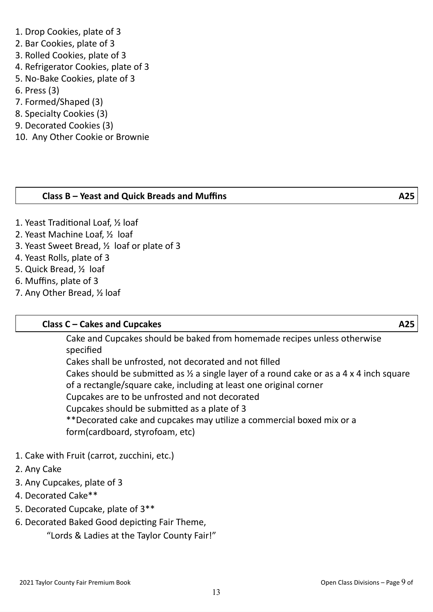## 1. Drop Cookies, plate of 3

- 2. Bar Cookies, plate of 3
- 3. Rolled Cookies, plate of 3
- 4. Refrigerator Cookies, plate of 3
- 5. No-Bake Cookies, plate of 3
- 6. Press (3)
- 7. Formed/Shaped (3)
- 8. Specialty Cookies (3)
- 9. Decorated Cookies (3)
- 10. Any Other Cookie or Brownie

## **Class B – Yeast and Quick Breads and Muffins A25**

- 1. Yeast Traditional Loaf, ½ loaf
- 2. Yeast Machine Loaf, ½ loaf
- 3. Yeast Sweet Bread, ½ loaf or plate of 3
- 4. Yeast Rolls, plate of 3
- 5. Quick Bread, ½ loaf
- 6. Muffins, plate of 3
- 7. Any Other Bread, ½ loaf

## **Class C – Cakes and Cupcakes A25**

Cake and Cupcakes should be baked from homemade recipes unless otherwise specified

Cakes shall be unfrosted, not decorated and not filled Cakes should be submitted as  $\frac{1}{2}$  a single layer of a round cake or as a 4 x 4 inch square of a rectangle/square cake, including at least one original corner Cupcakes are to be unfrosted and not decorated Cupcakes should be submitted as a plate of 3 \*\*Decorated cake and cupcakes may utilize a commercial boxed mix or a form(cardboard, styrofoam, etc)

- 1. Cake with Fruit (carrot, zucchini, etc.)
- 2. Any Cake
- 3. Any Cupcakes, plate of 3
- 4. Decorated Cake\*\*
- 5. Decorated Cupcake, plate of 3\*\*
- 6. Decorated Baked Good depicting Fair Theme,

"Lords & Ladies at the Taylor County Fair!"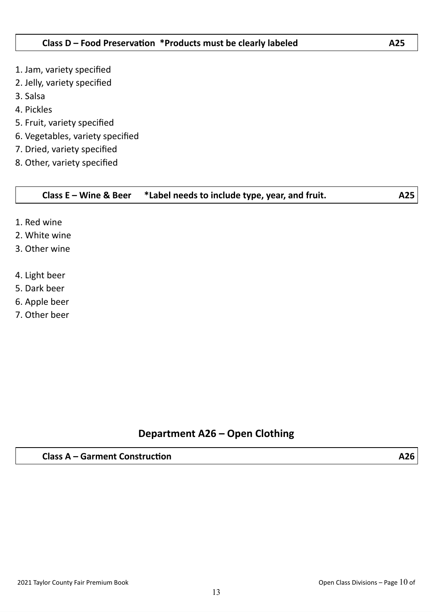- 1. Jam, variety specified
- 2. Jelly, variety specified
- 3. Salsa
- 4. Pickles
- 5. Fruit, variety specified
- 6. Vegetables, variety specified
- 7. Dried, variety specified
- 8. Other, variety specified

## **Class E – Wine & Beer \*Label needs to include type, year, and fruit. A25**

- 1. Red wine
- 2. White wine
- 3. Other wine
- 4. Light beer
- 5. Dark beer
- 6. Apple beer
- 7. Other beer

## **Department A26 – Open Clothing**

## **Class A – Garment Construction A26**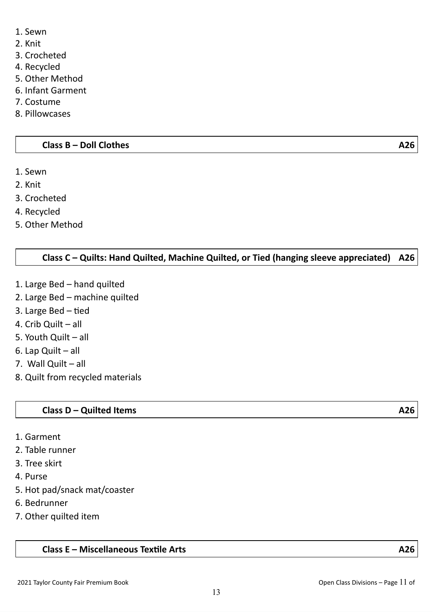- 1. Sewn
- 2. Knit
- 3. Crocheted
- 4. Recycled
- 5. Other Method
- 6. Infant Garment
- 7. Costume
- 8. Pillowcases

#### **Class B – Doll Clothes A26**

- 1. Sewn
- 2. Knit
- 3. Crocheted
- 4. Recycled
- 5. Other Method

## **Class C – Quilts: Hand Quilted, Machine Quilted, or Tied (hanging sleeve appreciated) A26**

- 1. Large Bed hand quilted
- 2. Large Bed machine quilted
- 3. Large Bed tied
- 4. Crib Quilt all
- 5. Youth Quilt all
- 6. Lap Quilt all
- 7. Wall Quilt all
- 8. Quilt from recycled materials

### **Class D – Quilted Items A26**

- 1. Garment
- 2. Table runner
- 3. Tree skirt
- 4. Purse
- 5. Hot pad/snack mat/coaster
- 6. Bedrunner
- 7. Other quilted item

#### **Class E – Miscellaneous Textile Arts A26**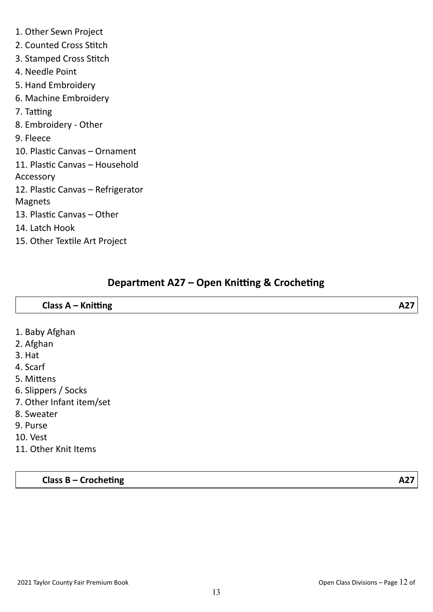- 1. Other Sewn Project
- 2. Counted Cross Stitch
- 3. Stamped Cross Stitch
- 4. Needle Point
- 5. Hand Embroidery
- 6. Machine Embroidery
- 7. Tatting
- 8. Embroidery Other
- 9. Fleece
- 10. Plastic Canvas Ornament
- 11. Plastic Canvas Household
- Accessory
- 12. Plastic Canvas Refrigerator
- Magnets
- 13. Plastic Canvas Other
- 14. Latch Hook
- 15. Other Textile Art Project

## **Department A27 – Open Knitting & Crocheting**

| Class A - Knitting       | A27 |
|--------------------------|-----|
|                          |     |
| 1. Baby Afghan           |     |
| 2. Afghan                |     |
| 3. Hat                   |     |
| 4. Scarf                 |     |
| 5. Mittens               |     |
| 6. Slippers / Socks      |     |
| 7. Other Infant item/set |     |
| 8. Sweater               |     |
| 9. Purse                 |     |
| <b>10. Vest</b>          |     |

11. Other Knit Items

**Class B – Crocheting A27**